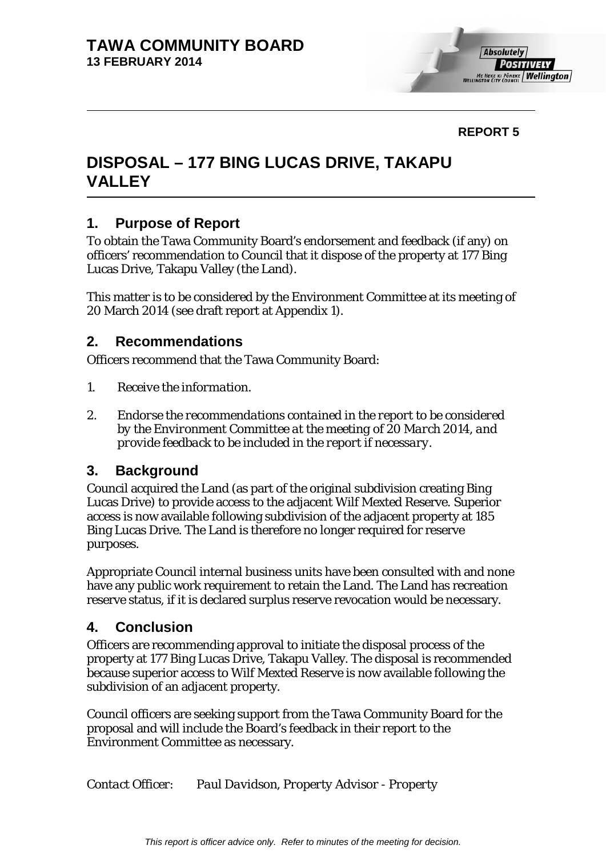

## **REPORT 5**

# **DISPOSAL – 177 BING LUCAS DRIVE, TAKAPU VALLEY**

## **1. Purpose of Report**

To obtain the Tawa Community Board's endorsement and feedback (if any) on officers' recommendation to Council that it dispose of the property at 177 Bing Lucas Drive, Takapu Valley (the Land).

This matter is to be considered by the Environment Committee at its meeting of 20 March 2014 (see draft report at Appendix 1).

## **2. Recommendations**

Officers recommend that the Tawa Community Board:

- *1. Receive the information.*
- *2. Endorse the recommendations contained in the report to be considered by the Environment Committee at the meeting of 20 March 2014, and provide feedback to be included in the report if necessary.*

# **3. Background**

Council acquired the Land (as part of the original subdivision creating Bing Lucas Drive) to provide access to the adjacent Wilf Mexted Reserve. Superior access is now available following subdivision of the adjacent property at 185 Bing Lucas Drive. The Land is therefore no longer required for reserve purposes.

Appropriate Council internal business units have been consulted with and none have any public work requirement to retain the Land. The Land has recreation reserve status, if it is declared surplus reserve revocation would be necessary.

### **4. Conclusion**

Officers are recommending approval to initiate the disposal process of the property at 177 Bing Lucas Drive, Takapu Valley. The disposal is recommended because superior access to Wilf Mexted Reserve is now available following the subdivision of an adjacent property.

Council officers are seeking support from the Tawa Community Board for the proposal and will include the Board's feedback in their report to the Environment Committee as necessary.

*Contact Officer: Paul Davidson, Property Advisor - Property*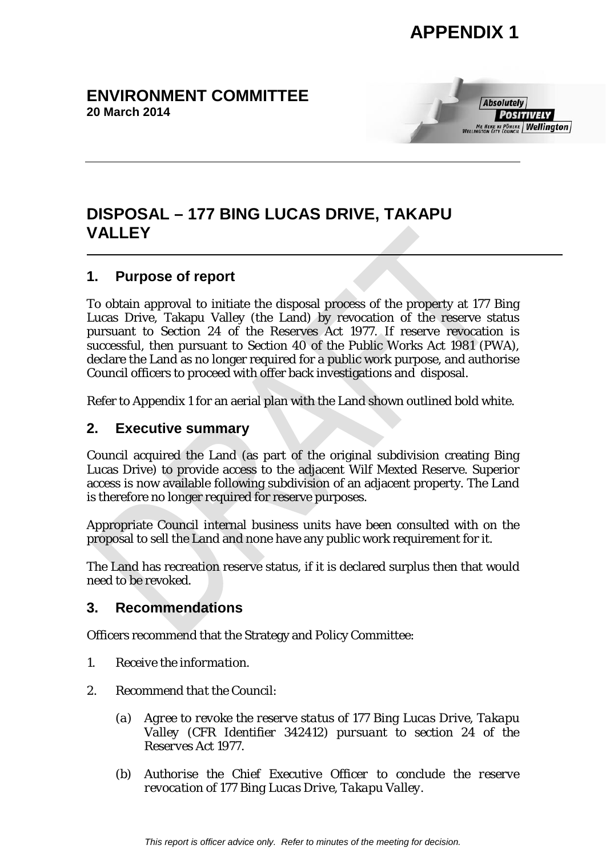# **APPENDIX 1**

# **ENVIRONMENT COMMITTEE 20 March 2014**



# **DISPOSAL – 177 BING LUCAS DRIVE, TAKAPU VALLEY**

# **1. Purpose of report**

To obtain approval to initiate the disposal process of the property at 177 Bing Lucas Drive, Takapu Valley (the Land) by revocation of the reserve status pursuant to Section 24 of the Reserves Act 1977. If reserve revocation is successful, then pursuant to Section 40 of the Public Works Act 1981 (PWA), declare the Land as no longer required for a public work purpose, and authorise Council officers to proceed with offer back investigations and disposal.

Refer to Appendix 1 for an aerial plan with the Land shown outlined bold white.

# **2. Executive summary**

Council acquired the Land (as part of the original subdivision creating Bing Lucas Drive) to provide access to the adjacent Wilf Mexted Reserve. Superior access is now available following subdivision of an adjacent property. The Land is therefore no longer required for reserve purposes.

Appropriate Council internal business units have been consulted with on the proposal to sell the Land and none have any public work requirement for it.

The Land has recreation reserve status, if it is declared surplus then that would need to be revoked.

# **3. Recommendations**

Officers recommend that the Strategy and Policy Committee:

- *1. Receive the information.*
- *2. Recommend that the Council:*
	- *(a) Agree to revoke the reserve status of 177 Bing Lucas Drive, Takapu Valley (CFR Identifier 342412) pursuant to section 24 of the Reserves Act 1977.*
	- *(b) Authorise the Chief Executive Officer to conclude the reserve revocation of 177 Bing Lucas Drive, Takapu Valley.*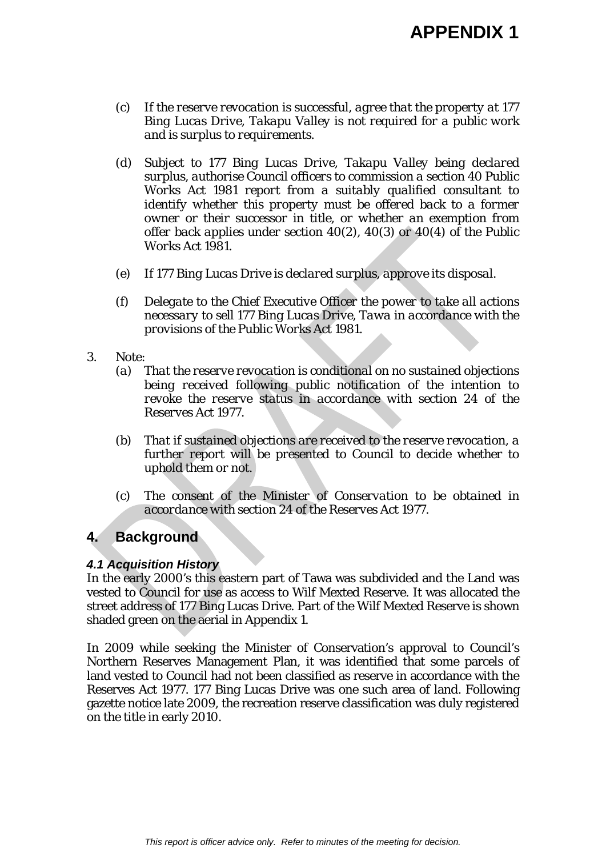- *(c) If the reserve revocation is successful, agree that the property at 177 Bing Lucas Drive, Takapu Valley is not required for a public work and is surplus to requirements.*
- *(d) Subject to 177 Bing Lucas Drive, Takapu Valley being declared surplus, authorise Council officers to commission a section 40 Public Works Act 1981 report from a suitably qualified consultant to identify whether this property must be offered back to a former owner or their successor in title, or whether an exemption from offer back applies under section 40(2), 40(3) or 40(4) of the Public Works Act 1981.*
- *(e) If 177 Bing Lucas Drive is declared surplus, approve its disposal.*
- *(f) Delegate to the Chief Executive Officer the power to take all actions necessary to sell 177 Bing Lucas Drive, Tawa in accordance with the provisions of the Public Works Act 1981.*
- *3. Note:*
	- *(a) That the reserve revocation is conditional on no sustained objections being received following public notification of the intention to revoke the reserve status in accordance with section 24 of the Reserves Act 1977.*
	- *(b) That if sustained objections are received to the reserve revocation, a further report will be presented to Council to decide whether to uphold them or not.*
	- *(c) The consent of the Minister of Conservation to be obtained in accordance with section 24 of the Reserves Act 1977.*

# **4. Background**

#### *4.1 Acquisition History*

In the early 2000's this eastern part of Tawa was subdivided and the Land was vested to Council for use as access to Wilf Mexted Reserve. It was allocated the street address of 177 Bing Lucas Drive. Part of the Wilf Mexted Reserve is shown shaded green on the aerial in Appendix 1.

In 2009 while seeking the Minister of Conservation's approval to Council's Northern Reserves Management Plan, it was identified that some parcels of land vested to Council had not been classified as reserve in accordance with the Reserves Act 1977. 177 Bing Lucas Drive was one such area of land. Following gazette notice late 2009, the recreation reserve classification was duly registered on the title in early 2010.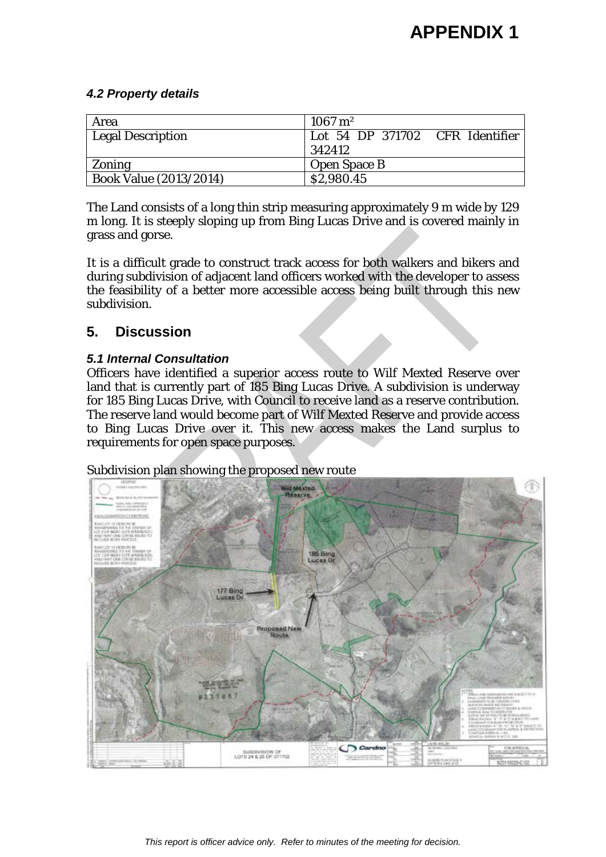#### *4.2 Property details*

| Area                          | $1067 \,\mathrm{m}^2$           |
|-------------------------------|---------------------------------|
| Legal Description             | Lot 54 DP 371702 CFR Identifier |
|                               | 342412                          |
| Zoning                        | <b>Open Space B</b>             |
| <b>Book Value (2013/2014)</b> | \$2,980.45                      |

The Land consists of a long thin strip measuring approximately 9 m wide by 129 m long. It is steeply sloping up from Bing Lucas Drive and is covered mainly in grass and gorse.

It is a difficult grade to construct track access for both walkers and bikers and during subdivision of adjacent land officers worked with the developer to assess the feasibility of a better more accessible access being built through this new subdivision.

# **5. Discussion**

## *5.1 Internal Consultation*

Officers have identified a superior access route to Wilf Mexted Reserve over land that is currently part of 185 Bing Lucas Drive. A subdivision is underway for 185 Bing Lucas Drive, with Council to receive land as a reserve contribution. The reserve land would become part of Wilf Mexted Reserve and provide access to Bing Lucas Drive over it. This new access makes the Land surplus to requirements for open space purposes.

Subdivision plan showing the proposed new route

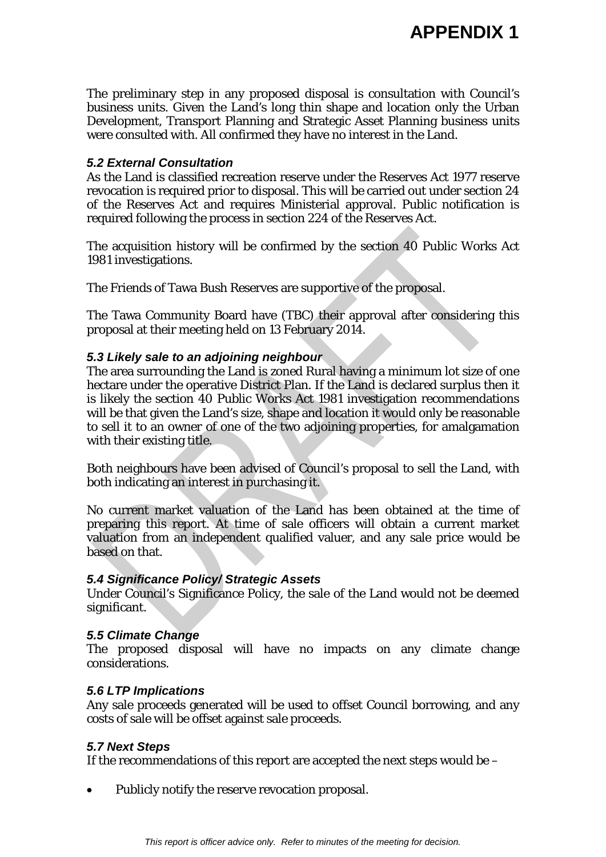The preliminary step in any proposed disposal is consultation with Council's business units. Given the Land's long thin shape and location only the Urban Development, Transport Planning and Strategic Asset Planning business units were consulted with. All confirmed they have no interest in the Land.

#### *5.2 External Consultation*

As the Land is classified recreation reserve under the Reserves Act 1977 reserve revocation is required prior to disposal. This will be carried out under section 24 of the Reserves Act and requires Ministerial approval. Public notification is required following the process in section 224 of the Reserves Act.

The acquisition history will be confirmed by the section 40 Public Works Act 1981 investigations.

The Friends of Tawa Bush Reserves are supportive of the proposal.

The Tawa Community Board have (TBC) their approval after considering this proposal at their meeting held on 13 February 2014.

#### *5.3 Likely sale to an adjoining neighbour*

The area surrounding the Land is zoned Rural having a minimum lot size of one hectare under the operative District Plan. If the Land is declared surplus then it is likely the section 40 Public Works Act 1981 investigation recommendations will be that given the Land's size, shape and location it would only be reasonable to sell it to an owner of one of the two adjoining properties, for amalgamation with their existing title.

Both neighbours have been advised of Council's proposal to sell the Land, with both indicating an interest in purchasing it.

No current market valuation of the Land has been obtained at the time of preparing this report. At time of sale officers will obtain a current market valuation from an independent qualified valuer, and any sale price would be based on that.

#### *5.4 Significance Policy/ Strategic Assets*

Under Council's Significance Policy, the sale of the Land would not be deemed significant.

#### *5.5 Climate Change*

The proposed disposal will have no impacts on any climate change considerations.

#### *5.6 LTP Implications*

Any sale proceeds generated will be used to offset Council borrowing, and any costs of sale will be offset against sale proceeds.

#### *5.7 Next Steps*

If the recommendations of this report are accepted the next steps would be –

• Publicly notify the reserve revocation proposal.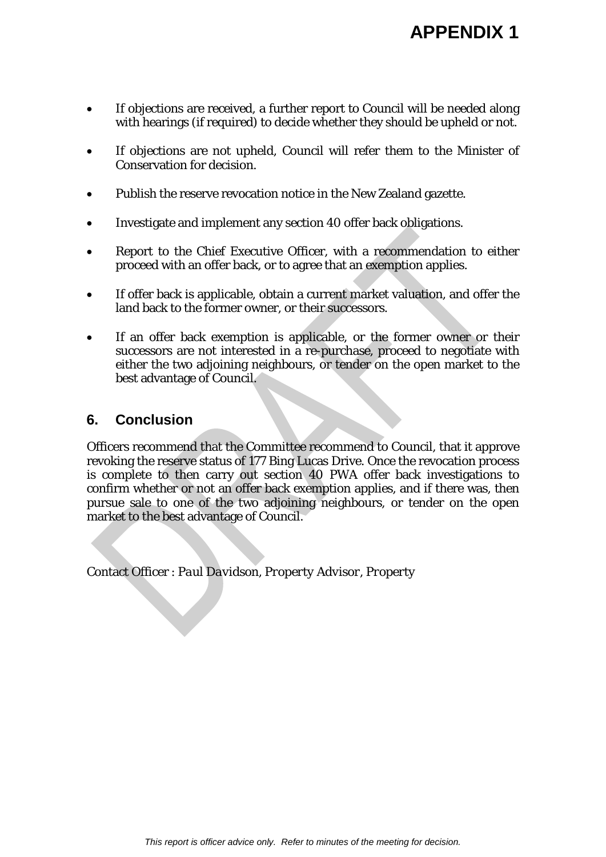- If objections are received, a further report to Council will be needed along with hearings (if required) to decide whether they should be upheld or not.
- If objections are not upheld, Council will refer them to the Minister of Conservation for decision.
- Publish the reserve revocation notice in the New Zealand gazette.
- Investigate and implement any section 40 offer back obligations.
- Report to the Chief Executive Officer, with a recommendation to either proceed with an offer back, or to agree that an exemption applies.
- If offer back is applicable, obtain a current market valuation, and offer the land back to the former owner, or their successors.
- If an offer back exemption is applicable, or the former owner or their successors are not interested in a re-purchase, proceed to negotiate with either the two adjoining neighbours, or tender on the open market to the best advantage of Council.

# **6. Conclusion**

Officers recommend that the Committee recommend to Council, that it approve revoking the reserve status of 177 Bing Lucas Drive. Once the revocation process is complete to then carry out section 40 PWA offer back investigations to confirm whether or not an offer back exemption applies, and if there was, then pursue sale to one of the two adjoining neighbours, or tender on the open market to the best advantage of Council.

Contact Officer : *Paul Davidson, Property Advisor, Property*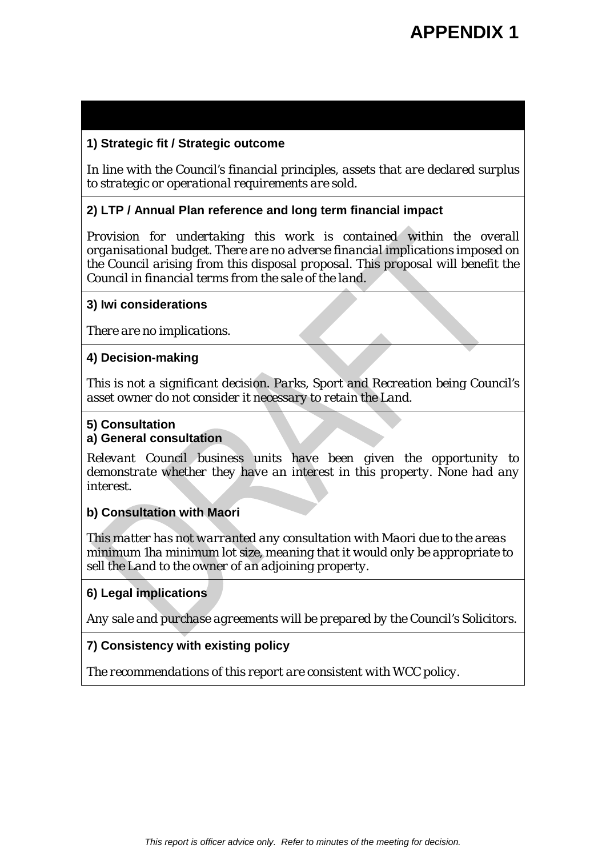#### **1) Strategic fit / Strategic outcome**

*In line with the Council's financial principles, assets that are declared surplus to strategic or operational requirements are sold.*

#### **2) LTP / Annual Plan reference and long term financial impact**

*Provision for undertaking this work is contained within the overall organisational budget. There are no adverse financial implications imposed on the Council arising from this disposal proposal. This proposal will benefit the Council in financial terms from the sale of the land.*

#### **3) Iwi considerations**

*There are no implications.*

#### **4) Decision-making**

*This is not a significant decision. Parks, Sport and Recreation being Council's asset owner do not consider it necessary to retain the Land.*

#### **5) Consultation**

#### **a) General consultation**

*Relevant Council business units have been given the opportunity to demonstrate whether they have an interest in this property. None had any interest.*

#### **b) Consultation with Maori**

*This matter has not warranted any consultation with Maori due to the areas minimum 1ha minimum lot size, meaning that it would only be appropriate to sell the Land to the owner of an adjoining property.* 

#### **6) Legal implications**

*Any sale and purchase agreements will be prepared by the Council's Solicitors.* 

### **7) Consistency with existing policy**

*The recommendations of this report are consistent with WCC policy.*